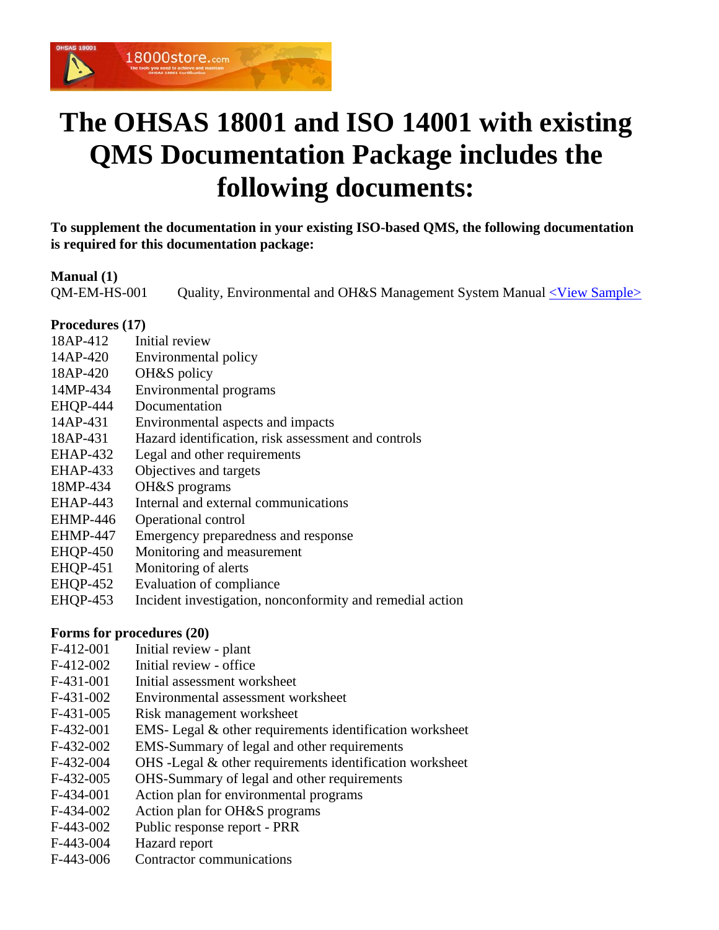

# **The OHSAS 18001 and ISO 14001 with existing QMS Documentation Package includes the following documents:**

**To supplement the documentation in your existing ISO-based QMS, the following documentation is required for this documentation package:** 

## **Manual (1)**

QM-EM-HS-001 Quality, Environmental and OH&S Management System Manual [<View Sample>](http://www.18000store.com/downloads/1418-Manual-ExistingQMS.pdf)

## **Procedures (17)**

- 18AP-412 Initial review
- 14AP-420 Environmental policy
- 18AP-420 OH&S policy
- 14MP-434 Environmental programs
- EHQP-444 Documentation
- 14AP-431 Environmental aspects and impacts
- 18AP-431 Hazard identification, risk assessment and controls
- EHAP-432 Legal and other requirements
- EHAP-433 Objectives and targets
- 18MP-434 OH&S programs
- EHAP-443 Internal and external communications
- EHMP-446 Operational control
- EHMP-447 Emergency preparedness and response
- EHQP-450 Monitoring and measurement
- EHQP-451 Monitoring of alerts
- EHQP-452 Evaluation of compliance
- EHQP-453 Incident investigation, nonconformity and remedial action

## **Forms for procedures (20)**

- F-412-001 Initial review plant
- F-412-002 Initial review office
- F-431-001 Initial assessment worksheet
- F-431-002 Environmental assessment worksheet
- F-431-005 Risk management worksheet
- F-432-001 EMS- Legal & other requirements identification worksheet
- F-432-002 EMS-Summary of legal and other requirements
- F-432-004 OHS -Legal & other requirements identification worksheet
- F-432-005 OHS-Summary of legal and other requirements
- F-434-001 Action plan for environmental programs
- F-434-002 Action plan for OH&S programs
- F-443-002 Public response report PRR
- F-443-004 Hazard report
- F-443-006 Contractor communications